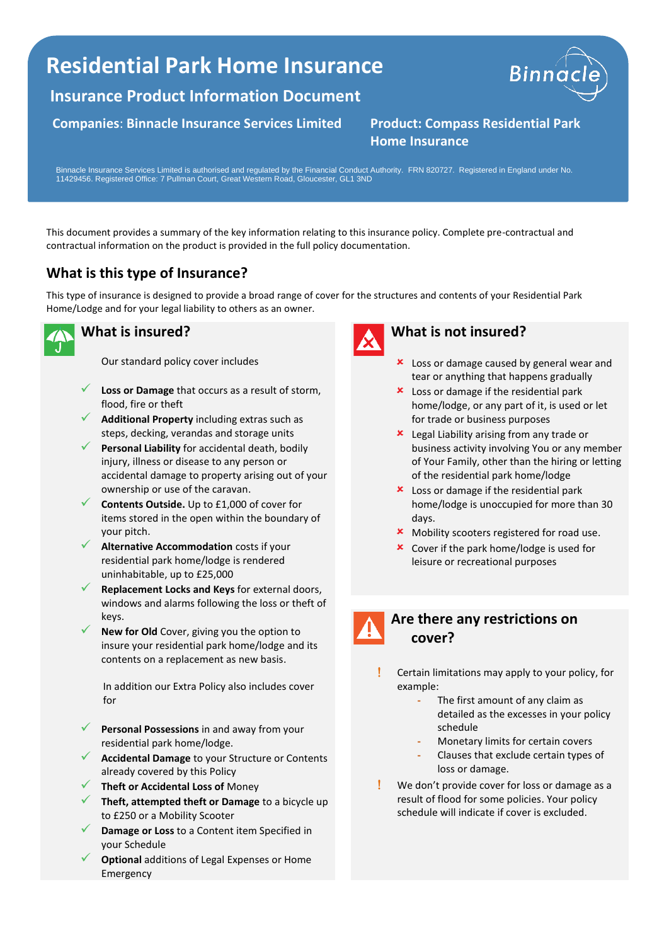# **Residential Park Home Insurance**

**Insurance Product Information Document**

**Companies**: **Binnacle Insurance Services Limited Product: Compass Residential Park** 



**Home Insurance**

Binnacle Insurance Services Limited is authorised and regulated by the Financial Conduct Authority. FRN 820727. Registered in England under No. 11429456. Registered Office: 7 Pullman Court, Great Western Road, Gloucester, GL1 3ND

This document provides a summary of the key information relating to this insurance policy. Complete pre-contractual and contractual information on the product is provided in the full policy documentation.

## **What is this type of Insurance?**

This type of insurance is designed to provide a broad range of cover for the structures and contents of your Residential Park Home/Lodge and for your legal liability to others as an owner.



### **What is insured?**

Our standard policy cover includes

- Loss or Damage that occurs as a result of storm, flood, fire or theft
- ✓ **Additional Property** including extras such as steps, decking, verandas and storage units
- Personal Liability for accidental death, bodily injury, illness or disease to any person or accidental damage to property arising out of your ownership or use of the caravan.
- **Contents Outside.** Up to £1,000 of cover for items stored in the open within the boundary of your pitch.
- ✓ **Alternative Accommodation** costs if your residential park home/lodge is rendered uninhabitable, up to £25,000
- **Replacement Locks and Keys** for external doors, windows and alarms following the loss or theft of keys.
- New for Old Cover, giving you the option to insure your residential park home/lodge and its contents on a replacement as new basis.

In addition our Extra Policy also includes cover for

- Personal Possessions in and away from your residential park home/lodge.
- ✓ **Accidental Damage** to your Structure or Contents already covered by this Policy
- ✓ **Theft or Accidental Loss of** Money
- ✓ **Theft, attempted theft or Damage** to a bicycle up to £250 or a Mobility Scooter
- **Damage or Loss** to a Content item Specified in your Schedule
- **Optional** additions of Legal Expenses or Home Emergency



#### **What is not insured?**

- **x** Loss or damage caused by general wear and tear or anything that happens gradually
- **x** Loss or damage if the residential park home/lodge, or any part of it, is used or let for trade or business purposes
- **x** Legal Liability arising from any trade or business activity involving You or any member of Your Family, other than the hiring or letting of the residential park home/lodge
- **x** Loss or damage if the residential park home/lodge is unoccupied for more than 30 days.
- **\*** Mobility scooters registered for road use.
- **x** Cover if the park home/lodge is used for leisure or recreational purposes



#### **Are there any restrictions on cover?**

- Certain limitations may apply to your policy, for example:
	- **-** The first amount of any claim as detailed as the excesses in your policy schedule
	- **-** Monetary limits for certain covers
	- **-** Clauses that exclude certain types of loss or damage.
- We don't provide cover for loss or damage as a result of flood for some policies. Your policy schedule will indicate if cover is excluded.